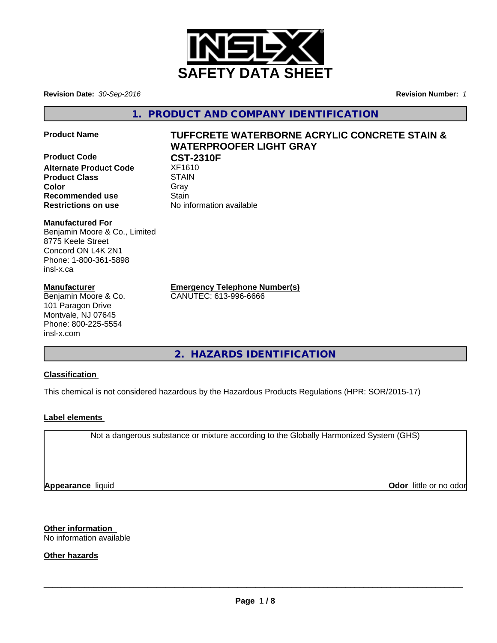

**Revision Date:** *30-Sep-2016* **Revision Number:** *1*

**1. PRODUCT AND COMPANY IDENTIFICATION**

**Product Code CST-2310F Alternate Product Code** XF1610 **Product Class STAIN Color** Gray Gray **Recommended use Stain** 

# **Product Name TUFFCRETE WATERBORNE ACRYLIC CONCRETE STAIN & WATERPROOFER LIGHT GRAY**

**Restrictions on use** No information available

#### **Manufactured For**

Benjamin Moore & Co., Limited 8775 Keele Street Concord ON L4K 2N1 Phone: 1-800-361-5898 insl-x.ca

#### **Manufacturer**

Benjamin Moore & Co. 101 Paragon Drive Montvale, NJ 07645 Phone: 800-225-5554 insl-x.com

**Emergency Telephone Number(s)**

CANUTEC: 613-996-6666

**2. HAZARDS IDENTIFICATION**

#### **Classification**

This chemical is not considered hazardous by the Hazardous Products Regulations (HPR: SOR/2015-17)

### **Label elements**

Not a dangerous substance or mixture according to the Globally Harmonized System (GHS)

**Appearance** liquid

**Odor** little or no odor

**Other information** No information available

**Other hazards**

 $\overline{\phantom{a}}$  ,  $\overline{\phantom{a}}$  ,  $\overline{\phantom{a}}$  ,  $\overline{\phantom{a}}$  ,  $\overline{\phantom{a}}$  ,  $\overline{\phantom{a}}$  ,  $\overline{\phantom{a}}$  ,  $\overline{\phantom{a}}$  ,  $\overline{\phantom{a}}$  ,  $\overline{\phantom{a}}$  ,  $\overline{\phantom{a}}$  ,  $\overline{\phantom{a}}$  ,  $\overline{\phantom{a}}$  ,  $\overline{\phantom{a}}$  ,  $\overline{\phantom{a}}$  ,  $\overline{\phantom{a}}$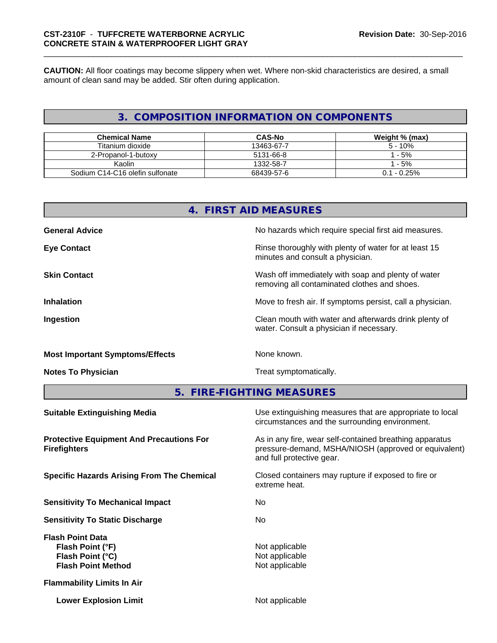**CAUTION:** All floor coatings may become slippery when wet. Where non-skid characteristics are desired, a small amount of clean sand may be added. Stir often during application.

# **3. COMPOSITION INFORMATION ON COMPONENTS**

| <b>Chemical Name</b>            | <b>CAS-No</b> | Weight % (max) |
|---------------------------------|---------------|----------------|
| Titanium dioxide                | 13463-67-7    | $5 - 10%$      |
| 2-Propanol-1-butoxy             | 5131-66-8     | $-5%$          |
| Kaolin                          | 1332-58-7     | $-5%$          |
| Sodium C14-C16 olefin sulfonate | 68439-57-6    | $0.1 - 0.25\%$ |

| 4. FIRST AID MEASURES                  |                                                                                                    |  |
|----------------------------------------|----------------------------------------------------------------------------------------------------|--|
| <b>General Advice</b>                  | No hazards which require special first aid measures.                                               |  |
| <b>Eye Contact</b>                     | Rinse thoroughly with plenty of water for at least 15<br>minutes and consult a physician.          |  |
| <b>Skin Contact</b>                    | Wash off immediately with soap and plenty of water<br>removing all contaminated clothes and shoes. |  |
| <b>Inhalation</b>                      | Move to fresh air. If symptoms persist, call a physician.                                          |  |
| Ingestion                              | Clean mouth with water and afterwards drink plenty of<br>water. Consult a physician if necessary.  |  |
| <b>Most Important Symptoms/Effects</b> | None known.                                                                                        |  |

**Notes To Physician** Motes To Physician Treat symptomatically.

**5. FIRE-FIGHTING MEASURES**

| <b>Suitable Extinguishing Media</b>                                                          | Use extinguishing measures that are appropriate to local<br>circumstances and the surrounding environment.                                   |
|----------------------------------------------------------------------------------------------|----------------------------------------------------------------------------------------------------------------------------------------------|
| <b>Protective Equipment And Precautions For</b><br><b>Firefighters</b>                       | As in any fire, wear self-contained breathing apparatus<br>pressure-demand, MSHA/NIOSH (approved or equivalent)<br>and full protective gear. |
| <b>Specific Hazards Arising From The Chemical</b>                                            | Closed containers may rupture if exposed to fire or<br>extreme heat.                                                                         |
| <b>Sensitivity To Mechanical Impact</b>                                                      | No.                                                                                                                                          |
| <b>Sensitivity To Static Discharge</b>                                                       | No.                                                                                                                                          |
| <b>Flash Point Data</b><br>Flash Point (°F)<br>Flash Point (°C)<br><b>Flash Point Method</b> | Not applicable<br>Not applicable<br>Not applicable                                                                                           |
| <b>Flammability Limits In Air</b>                                                            |                                                                                                                                              |
| <b>Lower Explosion Limit</b>                                                                 | Not applicable                                                                                                                               |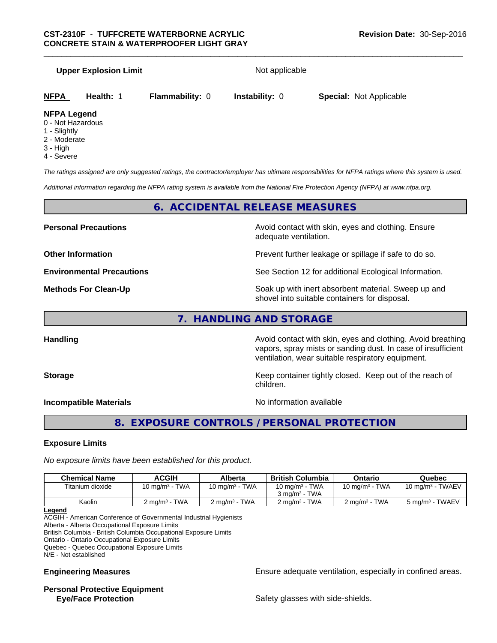#### **Upper Explosion Limit** Not applicable

| <b>NFPA</b> Health: 1 |  | <b>Special: Not Applicable</b> |
|-----------------------|--|--------------------------------|
|                       |  |                                |

#### **NFPA Legend**

- 0 Not Hazardous
- 1 Slightly
- 2 Moderate
- 3 High
- 4 Severe

*The ratings assigned are only suggested ratings, the contractor/employer has ultimate responsibilities for NFPA ratings where this system is used.*

*Additional information regarding the NFPA rating system is available from the National Fire Protection Agency (NFPA) at www.nfpa.org.*

#### **6. ACCIDENTAL RELEASE MEASURES**

**Personal Precautions Avoid contact with skin, eyes and clothing. Ensure** Avoid contact with skin, eyes and clothing. Ensure adequate ventilation.

**Other Information Other Information Prevent further leakage or spillage if safe to do so.** 

**Environmental Precautions** See Section 12 for additional Ecological Information.

**Methods For Clean-Up Force 20 All 20 All 20 All 20 Soak** up with inert absorbent material. Sweep up and shovel into suitable containers for disposal.

vapors, spray mists or sanding dust. In case of insufficient

ventilation, wear suitable respiratory equipment.

#### **7. HANDLING AND STORAGE**

**Handling Handling Avoid contact with skin, eyes and clothing. Avoid breathing H** 

**Storage Keep container tightly closed. Keep out of the reach of Keep Keep Container tightly closed.** Keep out of the reach of

**Incompatible Materials Incompatible Materials No information available** 

### **8. EXPOSURE CONTROLS / PERSONAL PROTECTION**

children.

#### **Exposure Limits**

*No exposure limits have been established for this product.*

| $10 \text{ mg/m}^3$ - TWA<br>10 mg/m <sup>3</sup> - TWA<br>$10 \text{ mg/m}^3$ - TWA<br>10 mg/m $3$ - TWA<br>$10 \text{ ma/m}^3$ - TWAEV<br>Titanium dioxide |
|--------------------------------------------------------------------------------------------------------------------------------------------------------------|
|                                                                                                                                                              |
| $3 \text{ ma/m}^3$ - TWA                                                                                                                                     |
| $2 \text{ ma/m}^3$ - TWA<br>2 ma/mª - TWA<br>$2 \text{ ma/m}^3$ - TWA<br>$2 \text{ ma/m}^3$ - TWA<br>5 mg/m <sup>3</sup> - TWAEV<br>Kaolin                   |

**Legend**

ACGIH - American Conference of Governmental Industrial Hygienists

Alberta - Alberta Occupational Exposure Limits

British Columbia - British Columbia Occupational Exposure Limits

Ontario - Ontario Occupational Exposure Limits Quebec - Quebec Occupational Exposure Limits

N/E - Not established

# **Personal Protective Equipment**

**Engineering Measures Ensure adequate ventilation, especially in confined areas.** 

**Eye/Face Protection Safety glasses with side-shields.** Safety glasses with side-shields.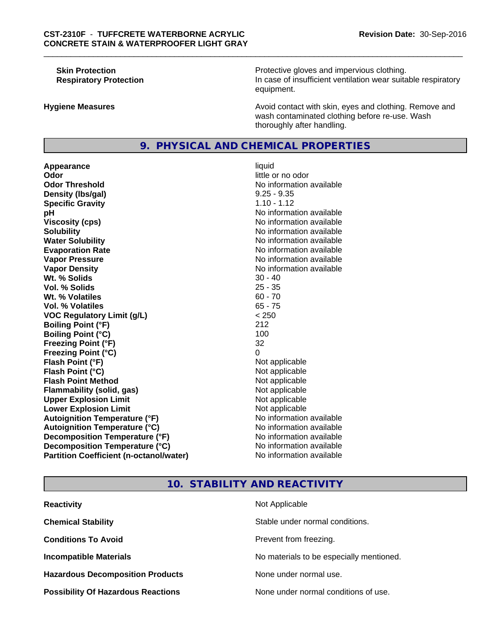**Skin Protection Protection Protective gloves and impervious clothing. Respiratory Protection In case of insufficient ventilation wear suitable respiratory** equipment.

**Hygiene Measures Avoid contact with skin, eyes and clothing. Remove and Avoid contact with skin, eyes and clothing. Remove and Avoid contact with skin, eyes and clothing. Remove and** wash contaminated clothing before re-use. Wash thoroughly after handling.

#### **9. PHYSICAL AND CHEMICAL PROPERTIES**

**Appearance** liquid **Odor** little or no odor **Odor Threshold** No information available **Density (lbs/gal)** 9.25 - 9.35 **Specific Gravity** 1.10 - 1.12 **pH**<br>
Viscosity (cps) The Contract of the Contract of the Viscosity (cps) and Viscosity (cps) **Solubility**<br> **No** information available<br> **Water Solubility**<br> **No** information available **Evaporation Rate Evaporation Rate No information available Vapor Pressure** No information available No information available **Vapor Density**<br> **We Solids** (*We Solids* (*We Solids* (*We Solids* (*We Solids* (*Me Solids* (*Me Solids* (*Me Solids* (*Me Solids* (*Me Solids* (*Me Solids* (*Me Solids* (*Me Solids* (*Me Solids* (*Me Solids* (*Me Solids* **Wt. % Solids** 30 - 40 **Vol. % Solids Wt. % Volatiles** 60 - 70 **Vol. % Volatiles** 65 - 75 **VOC Regulatory Limit (g/L)** < 250 **Boiling Point (°F)** 212 **Boiling Point (°C)** 100 **Freezing Point (°F)** 32 **Freezing Point (°C)** 0 **Flash Point (°F)** Not applicable **Flash Point (°C)**<br> **Flash Point Method**<br> **Flash Point Method**<br> **Point Method**<br> **Point Method**<br> **Point Method Flash Point Method Flammability (solid, gas)** Not applicable **Upper Explosion Limit**<br> **Lower Explosion Limit**<br> **Lower Explosion Limit Lower Explosion Limit Autoignition Temperature (°F)** No information available **Autoignition Temperature (°C)** No information available **Decomposition Temperature (°F)** No information available **Decomposition Temperature (°C)** No information available **Partition Coefficient (n-octanol/water)** No information available

# **Viscosity (cps)** No information available **No information available**

#### **10. STABILITY AND REACTIVITY**

| <b>Reactivity</b>                         | Not Applicable                           |
|-------------------------------------------|------------------------------------------|
| <b>Chemical Stability</b>                 | Stable under normal conditions.          |
| <b>Conditions To Avoid</b>                | Prevent from freezing.                   |
| <b>Incompatible Materials</b>             | No materials to be especially mentioned. |
| <b>Hazardous Decomposition Products</b>   | None under normal use.                   |
| <b>Possibility Of Hazardous Reactions</b> | None under normal conditions of use.     |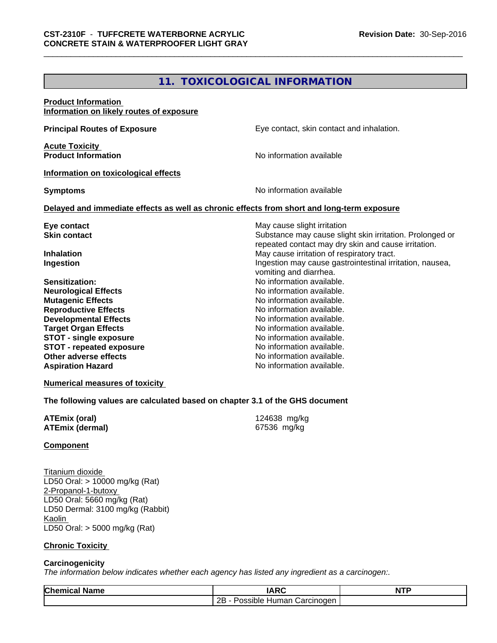# **11. TOXICOLOGICAL INFORMATION**

| <b>Product Information</b><br>Information on likely routes of exposure |                                                                                            |
|------------------------------------------------------------------------|--------------------------------------------------------------------------------------------|
| <b>Principal Routes of Exposure</b>                                    | Eye contact, skin contact and inhalation.                                                  |
| <b>Acute Toxicity</b><br><b>Product Information</b>                    | No information available                                                                   |
| Information on toxicological effects                                   |                                                                                            |
| <b>Symptoms</b>                                                        | No information available                                                                   |
|                                                                        | Delayed and immediate effects as well as chronic effects from short and long-term exposure |
| Eye contact                                                            | May cause slight irritation                                                                |
| <b>Skin contact</b>                                                    | Substance may cause slight skin irritation. Prolonged or                                   |
|                                                                        | repeated contact may dry skin and cause irritation.                                        |
| <b>Inhalation</b>                                                      | May cause irritation of respiratory tract.                                                 |
| Ingestion                                                              | Ingestion may cause gastrointestinal irritation, nausea,                                   |
|                                                                        | vomiting and diarrhea.                                                                     |
| Sensitization:                                                         | No information available.                                                                  |
| <b>Neurological Effects</b>                                            | No information available.                                                                  |
| <b>Mutagenic Effects</b>                                               | No information available.                                                                  |
| <b>Reproductive Effects</b>                                            | No information available.                                                                  |
| <b>Developmental Effects</b>                                           | No information available.                                                                  |
| <b>Target Organ Effects</b>                                            | No information available.                                                                  |
| <b>STOT - single exposure</b>                                          | No information available.                                                                  |
| <b>STOT - repeated exposure</b>                                        | No information available.                                                                  |
| Other adverse effects                                                  | No information available.                                                                  |
| <b>Aspiration Hazard</b>                                               | No information available.                                                                  |
| <b>Numerical measures of toxicity</b>                                  |                                                                                            |

**The following values are calculated based on chapter 3.1 of the GHS document**

| <b>ATEmix (oral)</b>   | 124638 mg/kg |
|------------------------|--------------|
| <b>ATEmix (dermal)</b> | 67536 mg/kg  |

#### **Component**

Titanium dioxide LD50 Oral: > 10000 mg/kg (Rat) 2-Propanol-1-butoxy LD50 Oral: 5660 mg/kg (Rat) LD50 Dermal: 3100 mg/kg (Rabbit) Kaolin LD50 Oral: > 5000 mg/kg (Rat)

#### **Chronic Toxicity**

#### **Carcinogenicity**

*The information below indicateswhether each agency has listed any ingredient as a carcinogen:.*

| Chem<br>Name<br>шел | <b>IARC</b>                                     | NTF |
|---------------------|-------------------------------------------------|-----|
|                     | 2B<br>Jarcinoder<br>----<br>sible<br>⊿um<br>nar |     |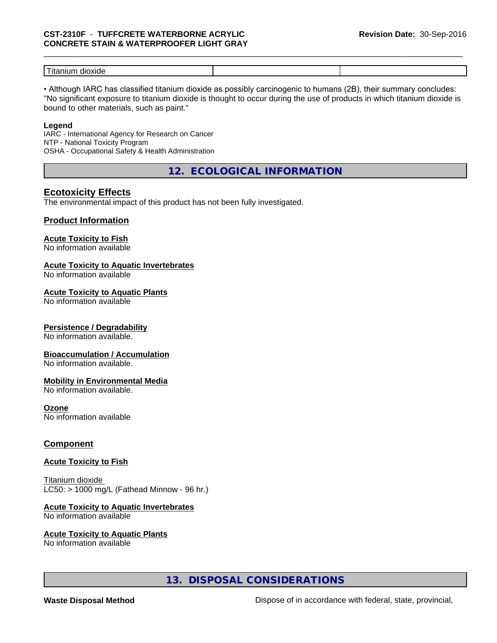# \_\_\_\_\_\_\_\_\_\_\_\_\_\_\_\_\_\_\_\_\_\_\_\_\_\_\_\_\_\_\_\_\_\_\_\_\_\_\_\_\_\_\_\_\_\_\_\_\_\_\_\_\_\_\_\_\_\_\_\_\_\_\_\_\_\_\_\_\_\_\_\_\_\_\_\_\_\_\_\_\_\_\_\_\_\_\_\_\_\_\_\_\_ **CST-2310F** - **TUFFCRETE WATERBORNE ACRYLIC CONCRETE STAIN & WATERPROOFER LIGHT GRAY**

| $- - -$<br>ut:<br>-- - -<br>-----<br>oxiae<br>ш<br>нин<br>ּוּ גו |  |
|------------------------------------------------------------------|--|

• Although IARC has classified titanium dioxide as possibly carcinogenic to humans (2B), their summary concludes: "No significant exposure to titanium dioxide is thought to occur during the use of products in which titanium dioxide is bound to other materials, such as paint."

#### **Legend**

IARC - International Agency for Research on Cancer NTP - National Toxicity Program OSHA - Occupational Safety & Health Administration

**12. ECOLOGICAL INFORMATION**

#### **Ecotoxicity Effects**

The environmental impact of this product has not been fully investigated.

#### **Product Information**

#### **Acute Toxicity to Fish**

No information available

#### **Acute Toxicity to Aquatic Invertebrates**

No information available

#### **Acute Toxicity to Aquatic Plants**

No information available

#### **Persistence / Degradability**

No information available.

#### **Bioaccumulation / Accumulation**

No information available.

#### **Mobility in Environmental Media**

No information available.

#### **Ozone**

No information available

#### **Component**

#### **Acute Toxicity to Fish**

Titanium dioxide  $LC50:$  > 1000 mg/L (Fathead Minnow - 96 hr.)

#### **Acute Toxicity to Aquatic Invertebrates**

No information available

#### **Acute Toxicity to Aquatic Plants**

No information available

### **13. DISPOSAL CONSIDERATIONS**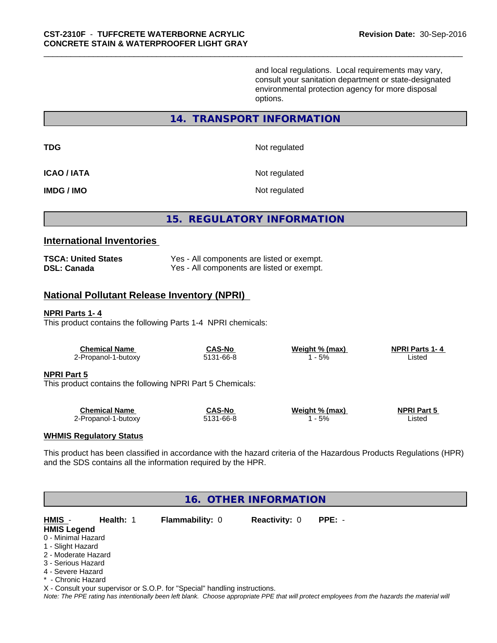and local regulations. Local requirements may vary, consult your sanitation department or state-designated environmental protection agency for more disposal options.

#### **14. TRANSPORT INFORMATION**

**TDG** Not regulated

**ICAO / IATA** Not regulated

**IMDG / IMO** Not regulated

### **15. REGULATORY INFORMATION**

#### **International Inventories**

| <b>TSCA: United States</b> | Yes - All components are listed or exempt. |
|----------------------------|--------------------------------------------|
| <b>DSL: Canada</b>         | Yes - All components are listed or exempt. |

### **National Pollutant Release Inventory (NPRI)**

#### **NPRI Parts 1- 4**

This product contains the following Parts 1-4 NPRI chemicals:

| <b>Chemical Name</b>                                                             | <b>CAS-No</b> | Weight % (max) | <b>NPRI Parts 1-4</b> |  |
|----------------------------------------------------------------------------------|---------------|----------------|-----------------------|--|
| 2-Propanol-1-butoxy                                                              | 5131-66-8     | l - 5%         | Listed                |  |
| <b>NPRI Part 5</b><br>This product contains the following NPRI Part 5 Chemicals: |               |                |                       |  |
| <b>Chemical Name</b>                                                             | <b>CAS-No</b> | Weight % (max) | <b>NPRI Part 5</b>    |  |
| 2-Propanol-1-butoxy                                                              | 5131-66-8     | - 5%           | Listed                |  |

#### **WHMIS Regulatory Status**

This product has been classified in accordance with the hazard criteria of the Hazardous Products Regulations (HPR) and the SDS contains all the information required by the HPR.

| 16. OTHER INFORMATION |  |                                                                            |  |                                                                                                                                               |  |  |
|-----------------------|--|----------------------------------------------------------------------------|--|-----------------------------------------------------------------------------------------------------------------------------------------------|--|--|
|                       |  |                                                                            |  |                                                                                                                                               |  |  |
| <b>HMIS Legend</b>    |  |                                                                            |  |                                                                                                                                               |  |  |
| 0 - Minimal Hazard    |  |                                                                            |  |                                                                                                                                               |  |  |
| 1 - Slight Hazard     |  |                                                                            |  |                                                                                                                                               |  |  |
| 2 - Moderate Hazard   |  |                                                                            |  |                                                                                                                                               |  |  |
| 3 - Serious Hazard    |  |                                                                            |  |                                                                                                                                               |  |  |
| 4 - Severe Hazard     |  |                                                                            |  |                                                                                                                                               |  |  |
| * - Chronic Hazard    |  |                                                                            |  |                                                                                                                                               |  |  |
|                       |  | X - Consult your supervisor or S.O.P. for "Special" handling instructions. |  |                                                                                                                                               |  |  |
|                       |  |                                                                            |  | Note: The PPE rating has intentionally been left blank. Choose appropriate PPE that will protect employees from the hazards the material will |  |  |